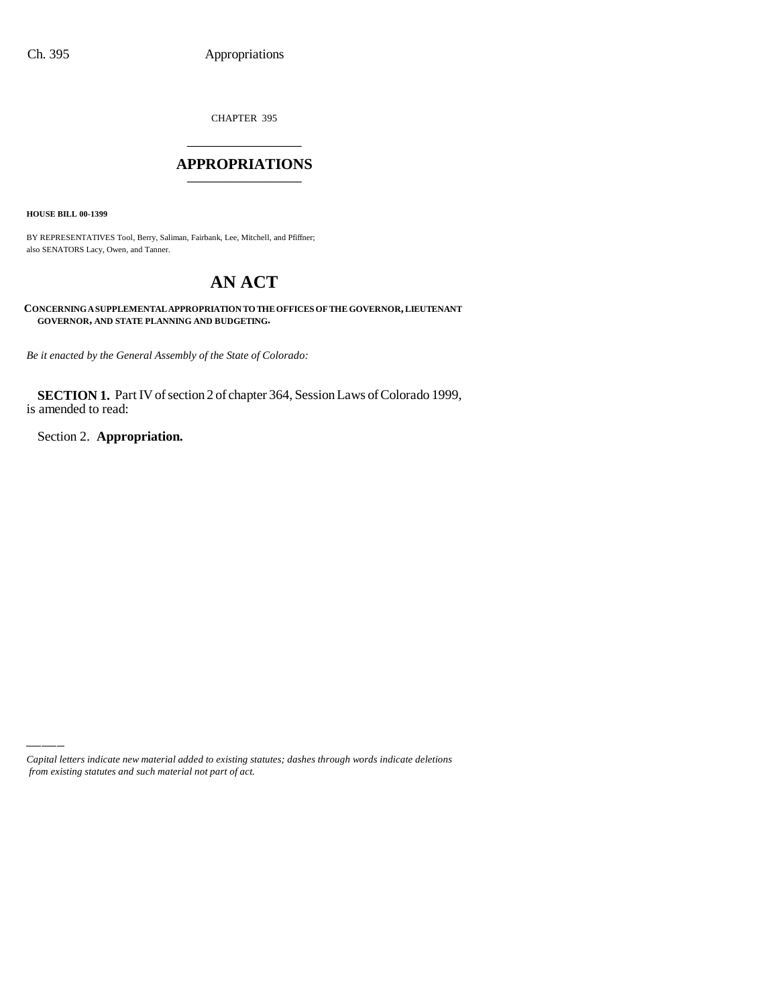CHAPTER 395 \_\_\_\_\_\_\_\_\_\_\_\_\_\_\_

#### **APPROPRIATIONS** \_\_\_\_\_\_\_\_\_\_\_\_\_\_\_

**HOUSE BILL 00-1399**

BY REPRESENTATIVES Tool, Berry, Saliman, Fairbank, Lee, Mitchell, and Pfiffner; also SENATORS Lacy, Owen, and Tanner.

# **AN ACT**

**CONCERNING A SUPPLEMENTAL APPROPRIATION TO THE OFFICES OF THE GOVERNOR, LIEUTENANT GOVERNOR, AND STATE PLANNING AND BUDGETING.**

*Be it enacted by the General Assembly of the State of Colorado:*

**SECTION 1.** Part IV of section 2 of chapter 364, Session Laws of Colorado 1999, is amended to read:

Section 2. **Appropriation.**

*Capital letters indicate new material added to existing statutes; dashes through words indicate deletions from existing statutes and such material not part of act.*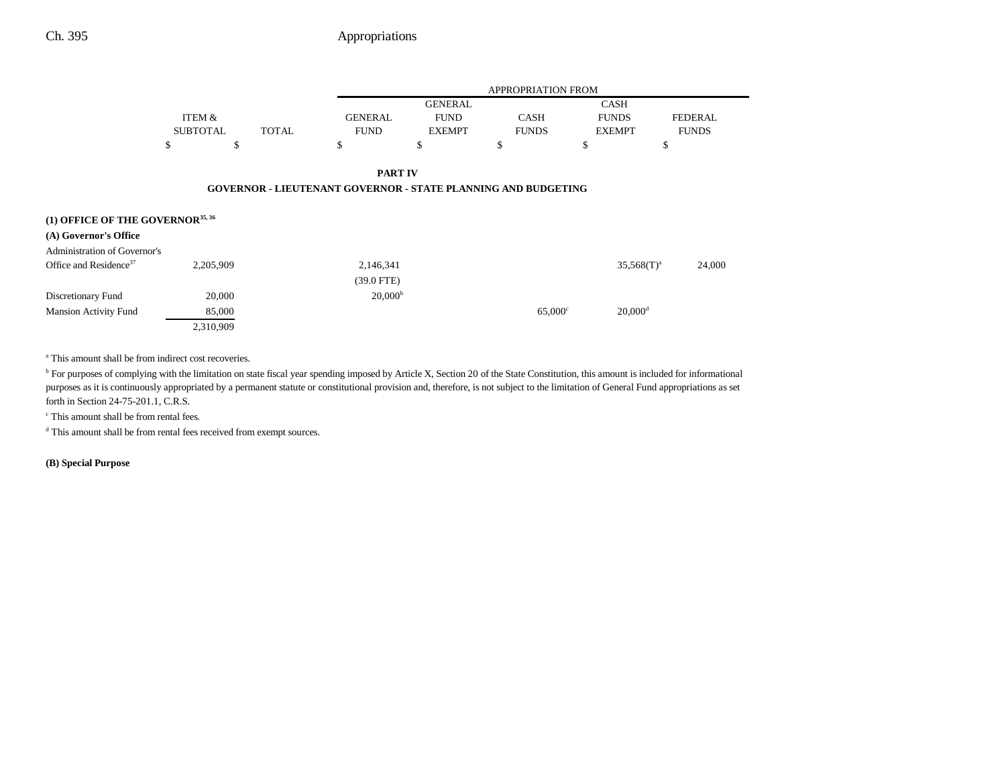## Ch. 395 Appropriations

|                                              |                 |              | <b>APPROPRIATION FROM</b>                                            |                |                |               |                       |                |
|----------------------------------------------|-----------------|--------------|----------------------------------------------------------------------|----------------|----------------|---------------|-----------------------|----------------|
|                                              |                 |              |                                                                      | <b>GENERAL</b> |                | <b>CASH</b>   |                       |                |
|                                              | ITEM &          |              | <b>GENERAL</b>                                                       | <b>FUND</b>    | <b>CASH</b>    | <b>FUNDS</b>  |                       | <b>FEDERAL</b> |
|                                              | <b>SUBTOTAL</b> | <b>TOTAL</b> | <b>FUND</b>                                                          | <b>EXEMPT</b>  | <b>FUNDS</b>   | <b>EXEMPT</b> |                       | <b>FUNDS</b>   |
|                                              | \$              | \$           | \$                                                                   | \$             | \$             | \$            | \$                    |                |
|                                              |                 |              | <b>PART IV</b>                                                       |                |                |               |                       |                |
|                                              |                 |              | <b>GOVERNOR - LIEUTENANT GOVERNOR - STATE PLANNING AND BUDGETING</b> |                |                |               |                       |                |
| (1) OFFICE OF THE GOVERNOR <sup>35, 36</sup> |                 |              |                                                                      |                |                |               |                       |                |
| (A) Governor's Office                        |                 |              |                                                                      |                |                |               |                       |                |
| <b>Administration of Governor's</b>          |                 |              |                                                                      |                |                |               |                       |                |
| Office and Residence <sup>37</sup>           | 2,205,909       |              | 2,146,341                                                            |                |                |               | $35,568(T)^a$         | 24,000         |
|                                              |                 |              | $(39.0$ FTE)                                                         |                |                |               |                       |                |
| Discretionary Fund                           | 20,000          |              | 20,000 <sup>b</sup>                                                  |                |                |               |                       |                |
| <b>Mansion Activity Fund</b>                 | 85,000          |              |                                                                      |                | $65,000^\circ$ |               | $20,000$ <sup>d</sup> |                |
|                                              | 2,310,909       |              |                                                                      |                |                |               |                       |                |

<sup>a</sup> This amount shall be from indirect cost recoveries.

<sup>b</sup> For purposes of complying with the limitation on state fiscal year spending imposed by Article X, Section 20 of the State Constitution, this amount is included for informational purposes as it is continuously appropriated by a permanent statute or constitutional provision and, therefore, is not subject to the limitation of General Fund appropriations as set forth in Section 24-75-201.1, C.R.S.

c This amount shall be from rental fees.

d This amount shall be from rental fees received from exempt sources.

**(B) Special Purpose**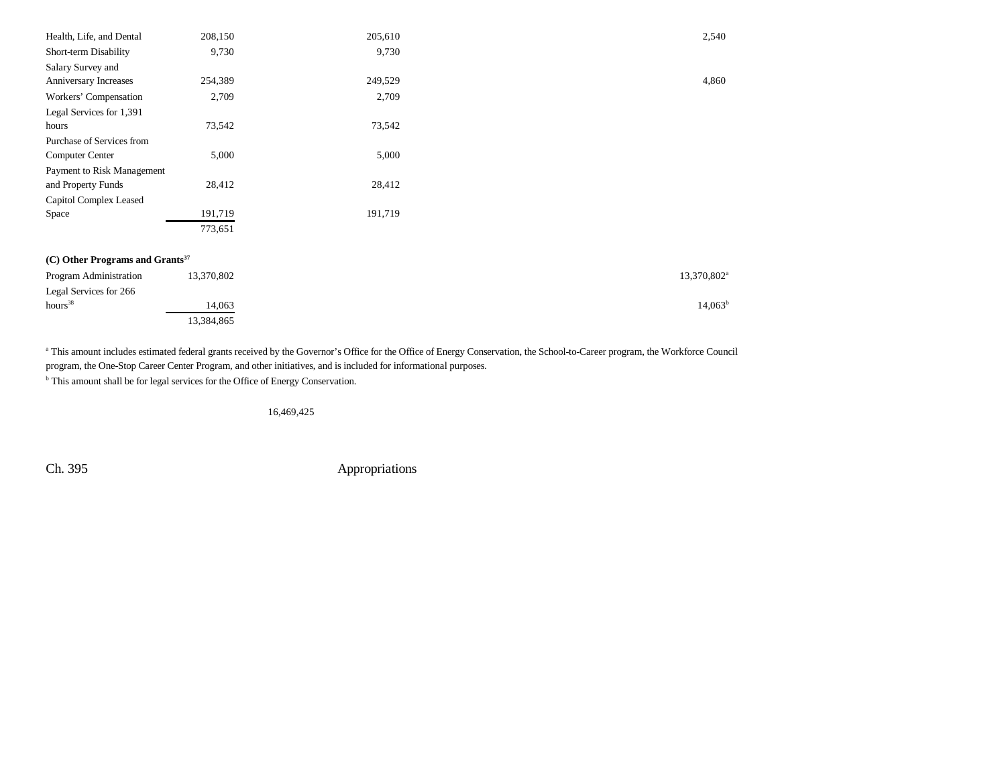| Health, Life, and Dental                    | 208,150    | 205,610 | 2,540                   |
|---------------------------------------------|------------|---------|-------------------------|
| Short-term Disability                       | 9,730      | 9,730   |                         |
| Salary Survey and                           |            |         |                         |
| Anniversary Increases                       | 254,389    | 249,529 | 4,860                   |
| Workers' Compensation                       | 2,709      | 2,709   |                         |
| Legal Services for 1,391                    |            |         |                         |
| hours                                       | 73,542     | 73,542  |                         |
| Purchase of Services from                   |            |         |                         |
| Computer Center                             | 5,000      | 5,000   |                         |
| Payment to Risk Management                  |            |         |                         |
| and Property Funds                          | 28,412     | 28,412  |                         |
| Capitol Complex Leased                      |            |         |                         |
| Space                                       | 191,719    | 191,719 |                         |
|                                             | 773,651    |         |                         |
|                                             |            |         |                         |
| (C) Other Programs and Grants <sup>37</sup> |            |         |                         |
| Program Administration                      | 13,370,802 |         | 13,370,802 <sup>a</sup> |
| Legal Services for 266                      |            |         |                         |
| hours <sup>38</sup>                         | 14,063     |         | $14,063^b$              |
|                                             | 13,384,865 |         |                         |

<sup>a</sup> This amount includes estimated federal grants received by the Governor's Office for the Office of Energy Conservation, the School-to-Career program, the Workforce Council program, the One-Stop Career Center Program, and other initiatives, and is included for informational purposes.

<sup>b</sup> This amount shall be for legal services for the Office of Energy Conservation.

16,469,425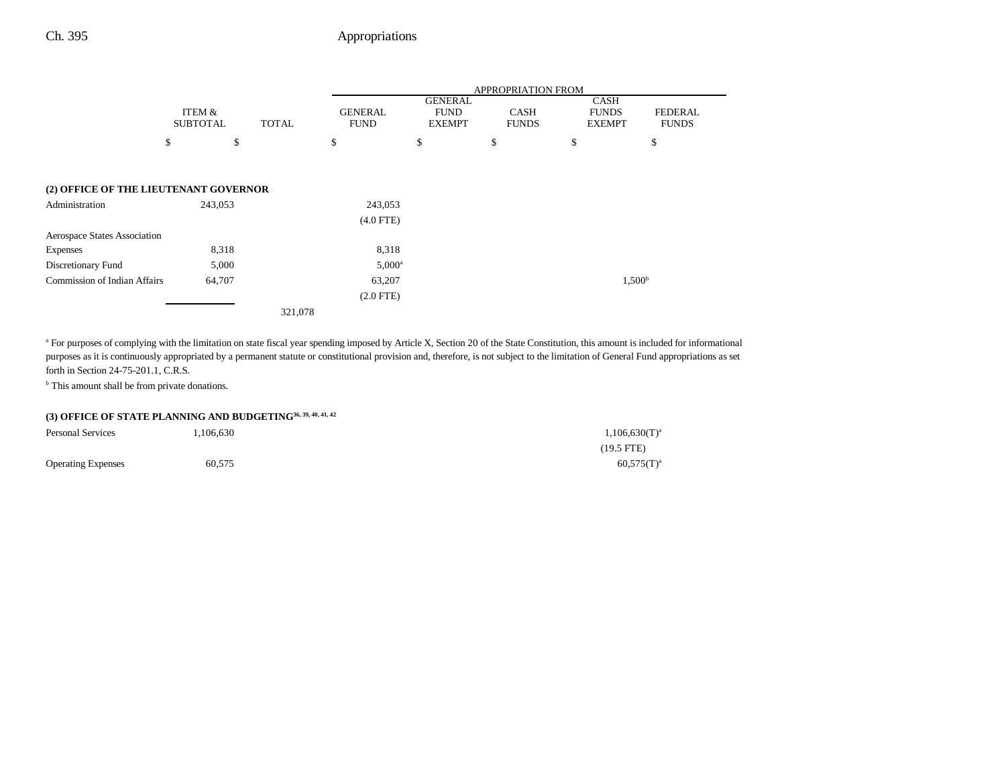## Ch. 395 Appropriations

|                                       |                           |    |         | <b>APPROPRIATION FROM</b> |              |                               |                                                |                             |                                              |                                |
|---------------------------------------|---------------------------|----|---------|---------------------------|--------------|-------------------------------|------------------------------------------------|-----------------------------|----------------------------------------------|--------------------------------|
|                                       | ITEM &<br><b>SUBTOTAL</b> |    |         |                           | <b>TOTAL</b> | <b>GENERAL</b><br><b>FUND</b> | <b>GENERAL</b><br><b>FUND</b><br><b>EXEMPT</b> | <b>CASH</b><br><b>FUNDS</b> | <b>CASH</b><br><b>FUNDS</b><br><b>EXEMPT</b> | <b>FEDERAL</b><br><b>FUNDS</b> |
|                                       | \$                        | \$ |         | \$                        | \$           | \$                            | \$                                             | \$                          |                                              |                                |
|                                       |                           |    |         |                           |              |                               |                                                |                             |                                              |                                |
| (2) OFFICE OF THE LIEUTENANT GOVERNOR |                           |    |         |                           |              |                               |                                                |                             |                                              |                                |
| Administration                        | 243,053                   |    |         | 243,053                   |              |                               |                                                |                             |                                              |                                |
|                                       |                           |    |         | $(4.0$ FTE)               |              |                               |                                                |                             |                                              |                                |
| <b>Aerospace States Association</b>   |                           |    |         |                           |              |                               |                                                |                             |                                              |                                |
| <b>Expenses</b>                       | 8,318                     |    |         | 8,318                     |              |                               |                                                |                             |                                              |                                |
| Discretionary Fund                    | 5,000                     |    |         | $5,000^a$                 |              |                               |                                                |                             |                                              |                                |
| <b>Commission of Indian Affairs</b>   | 64,707                    |    |         | 63,207                    |              |                               |                                                | 1,500 <sup>b</sup>          |                                              |                                |
|                                       |                           |    |         | $(2.0$ FTE)               |              |                               |                                                |                             |                                              |                                |
|                                       |                           |    | 321,078 |                           |              |                               |                                                |                             |                                              |                                |

<sup>a</sup> For purposes of complying with the limitation on state fiscal year spending imposed by Article X, Section 20 of the State Constitution, this amount is included for informational purposes as it is continuously appropriated by a permanent statute or constitutional provision and, therefore, is not subject to the limitation of General Fund appropriations as set forth in Section 24-75-201.1, C.R.S.

<sup>b</sup> This amount shall be from private donations.

## **(3) OFFICE OF STATE PLANNING AND BUDGETING36, 39, 40, 41, 42**

| <b>Personal Services</b>  | 106,630 | $1,106,630(T)^{a}$ |
|---------------------------|---------|--------------------|
|                           |         | $(19.5$ FTE)       |
| <b>Operating Expenses</b> | 60,575  | $60,575(T)^{a}$    |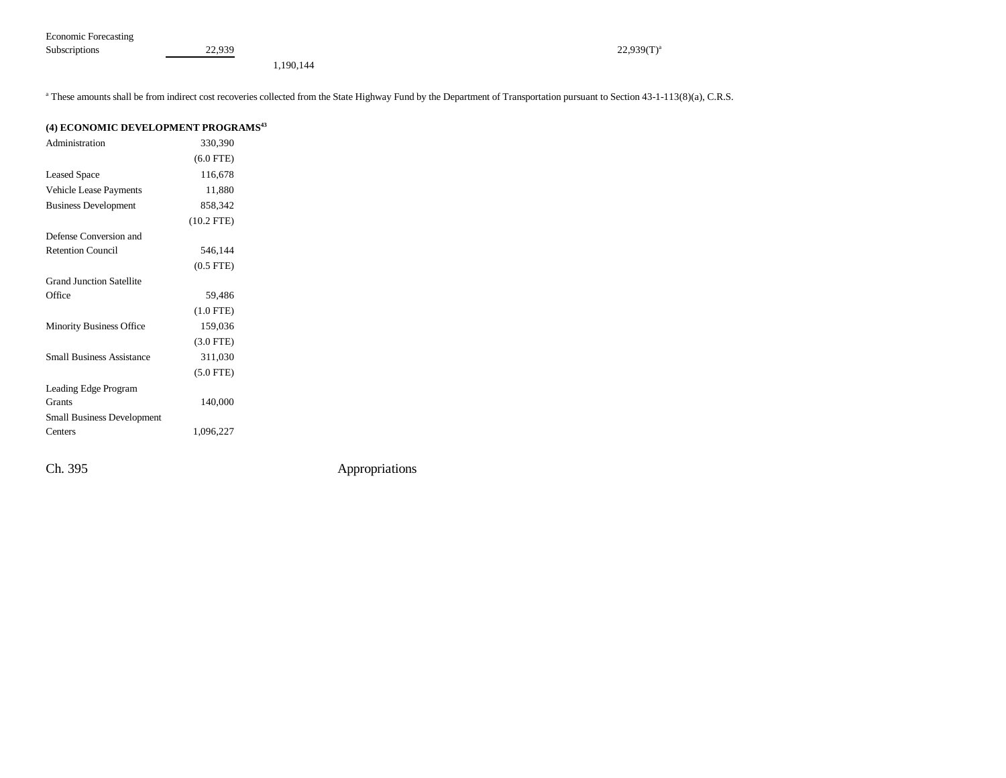| Economic Forecasting |             |               |
|----------------------|-------------|---------------|
| Subscriptions        | 22.939<br>. | $22,939(T)^3$ |

1,190,144

<sup>a</sup> These amounts shall be from indirect cost recoveries collected from the State Highway Fund by the Department of Transportation pursuant to Section 43-1-113(8)(a), C.R.S.

| (4) ECONOMIC DEVELOPMENT PROGRAMS <sup>43</sup> |                |  |  |  |  |
|-------------------------------------------------|----------------|--|--|--|--|
| Administration                                  | 330,390        |  |  |  |  |
|                                                 | $(6.0$ FTE)    |  |  |  |  |
| <b>Leased Space</b>                             | 116,678        |  |  |  |  |
| <b>Vehicle Lease Payments</b>                   | 11,880         |  |  |  |  |
| <b>Business Development</b>                     | 858.342        |  |  |  |  |
|                                                 | $(10.2$ FTE)   |  |  |  |  |
| Defense Conversion and                          |                |  |  |  |  |
| <b>Retention Council</b>                        | 546,144        |  |  |  |  |
|                                                 | $(0.5$ FTE $)$ |  |  |  |  |
| <b>Grand Junction Satellite</b>                 |                |  |  |  |  |
| Office                                          | 59,486         |  |  |  |  |
|                                                 | $(1.0$ FTE)    |  |  |  |  |
| <b>Minority Business Office</b>                 | 159,036        |  |  |  |  |
|                                                 | $(3.0$ FTE)    |  |  |  |  |
| <b>Small Business Assistance</b>                | 311,030        |  |  |  |  |
|                                                 | $(5.0$ FTE)    |  |  |  |  |
| Leading Edge Program                            |                |  |  |  |  |
| Grants                                          | 140,000        |  |  |  |  |
| <b>Small Business Development</b>               |                |  |  |  |  |
| Centers                                         | 1,096,227      |  |  |  |  |
|                                                 |                |  |  |  |  |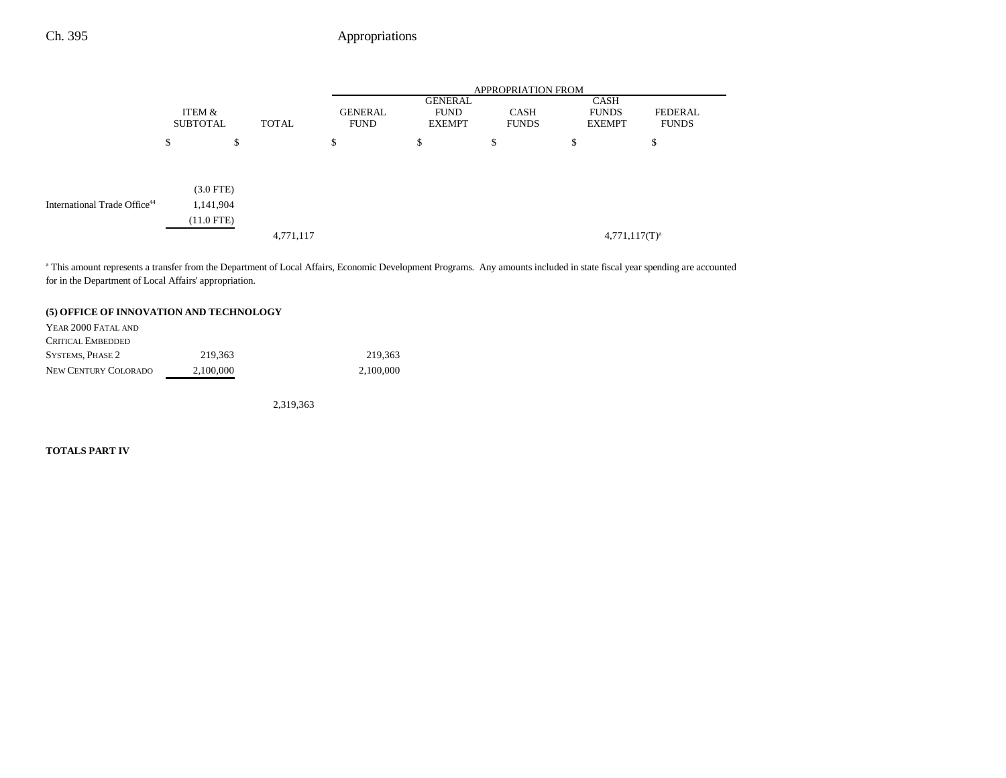## Ch. 395 **Appropriations**

|                                          |                                          |           | <b>APPROPRIATION FROM</b> |                                         |                             |                                       |                         |  |
|------------------------------------------|------------------------------------------|-----------|---------------------------|-----------------------------------------|-----------------------------|---------------------------------------|-------------------------|--|
|                                          | ITEM &<br><b>SUBTOTAL</b>                | TOTAL     | GENERAL<br><b>FUND</b>    | GENERAL<br><b>FUND</b><br><b>EXEMPT</b> | <b>CASH</b><br><b>FUNDS</b> | CASH<br><b>FUNDS</b><br><b>EXEMPT</b> | FEDERAL<br><b>FUNDS</b> |  |
|                                          | \$                                       | D         | \$                        | \$                                      | S                           | \$                                    | Φ                       |  |
| International Trade Office <sup>44</sup> | $(3.0$ FTE)<br>1,141,904<br>$(11.0$ FTE) | 4,771,117 |                           |                                         |                             | $4,771,117(T)^a$                      |                         |  |

<sup>a</sup> This amount represents a transfer from the Department of Local Affairs, Economic Development Programs. Any amounts included in state fiscal year spending are accounted for in the Department of Local Affairs' appropriation.

#### **(5) OFFICE OF INNOVATION AND TECHNOLOGY**

| YEAR 2000 FATAL AND      |           |           |
|--------------------------|-----------|-----------|
| <b>CRITICAL EMBEDDED</b> |           |           |
| <b>SYSTEMS, PHASE 2</b>  | 219.363   | 219.363   |
| NEW CENTURY COLORADO     | 2.100.000 | 2.100,000 |

2,319,363

#### **TOTALS PART IV**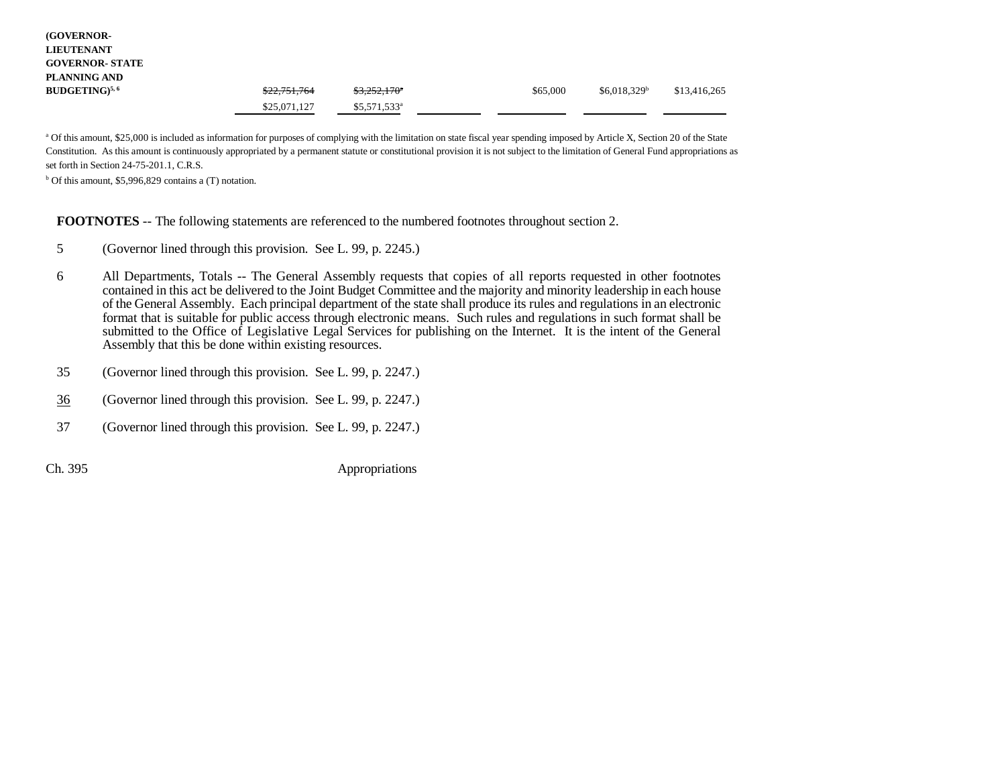| <b>(GOVERNOR-</b><br><b>LIEUTENANT</b> |              |                           |          |                |              |
|----------------------------------------|--------------|---------------------------|----------|----------------|--------------|
| <b>GOVERNOR- STATE</b>                 |              |                           |          |                |              |
| PLANNING AND                           |              |                           |          |                |              |
| $BUDGETING)^{5,6}$                     | \$22,751,764 | $$3,252,170$ <sup>*</sup> | \$65,000 | $$6,018,329^b$ | \$13,416,265 |
|                                        | \$25,071,127 | $$5,571,533$ <sup>a</sup> |          |                |              |

<sup>a</sup> Of this amount, \$25,000 is included as information for purposes of complying with the limitation on state fiscal year spending imposed by Article X, Section 20 of the State Constitution. As this amount is continuously appropriated by a permanent statute or constitutional provision it is not subject to the limitation of General Fund appropriations as set forth in Section 24-75-201.1, C.R.S.

 $b$  Of this amount, \$5,996,829 contains a (T) notation.

#### **FOOTNOTES** -- The following statements are referenced to the numbered footnotes throughout section 2.

- 5 (Governor lined through this provision. See L. 99, p. 2245.)
- 6 All Departments, Totals -- The General Assembly requests that copies of all reports requested in other footnotes contained in this act be delivered to the Joint Budget Committee and the majority and minority leadership in each house of the General Assembly. Each principal department of the state shall produce its rules and regulations in an electronic format that is suitable for public access through electronic means. Such rules and regulations in such format shall be submitted to the Office of Legislative Legal Services for publishing on the Internet. It is the intent of the General Assembly that this be done within existing resources.
- 35 (Governor lined through this provision. See L. 99, p. 2247.)
- 36(Governor lined through this provision. See L. 99, p. 2247.)
- 37 (Governor lined through this provision. See L. 99, p. 2247.)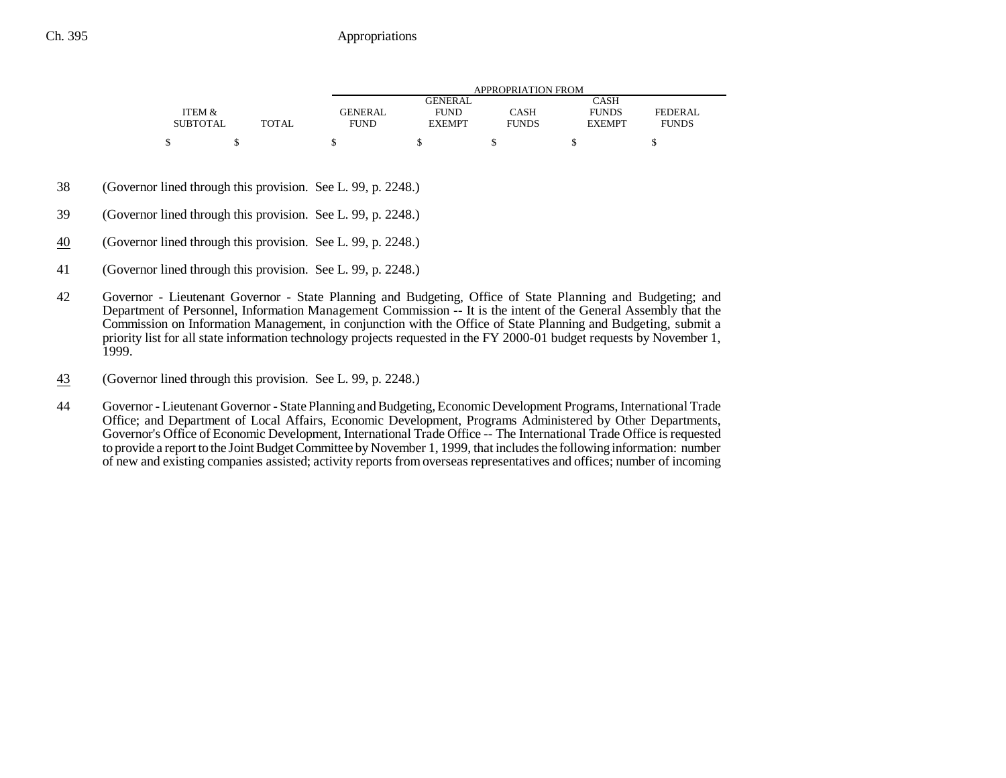|                 |       |                | APPROPRIATION FROM |              |               |                |  |  |  |
|-----------------|-------|----------------|--------------------|--------------|---------------|----------------|--|--|--|
|                 |       |                | GENERAL            |              | CASH          |                |  |  |  |
| ITEM &          |       | <b>GENERAL</b> | <b>FUND</b>        | CASH         | <b>FUNDS</b>  | <b>FEDERAL</b> |  |  |  |
| <b>SUBTOTAL</b> | TOTAL | <b>FUND</b>    | <b>EXEMPT</b>      | <b>FUNDS</b> | <b>EXEMPT</b> | <b>FUNDS</b>   |  |  |  |
| ¢               |       |                |                    |              |               |                |  |  |  |

- 38 (Governor lined through this provision. See L. 99, p. 2248.)
- 39 (Governor lined through this provision. See L. 99, p. 2248.)
- 40(Governor lined through this provision. See L. 99, p. 2248.)
- 41 (Governor lined through this provision. See L. 99, p. 2248.)
- 42 Governor Lieutenant Governor State Planning and Budgeting, Office of State Planning and Budgeting; and Department of Personnel, Information Management Commission -- It is the intent of the General Assembly that the Commission on Information Management, in conjunction with the Office of State Planning and Budgeting, submit a priority list for all state information technology projects requested in the FY 2000-01 budget requests by November 1, 1999.
- 43(Governor lined through this provision. See L. 99, p. 2248.)
- 44 Governor Lieutenant Governor State Planning and Budgeting, Economic Development Programs, International Trade Office; and Department of Local Affairs, Economic Development, Programs Administered by Other Departments, Governor's Office of Economic Development, International Trade Office -- The International Trade Office is requested to provide a report to the Joint Budget Committee by November 1, 1999, that includes the following information: number of new and existing companies assisted; activity reports from overseas representatives and offices; number of incoming